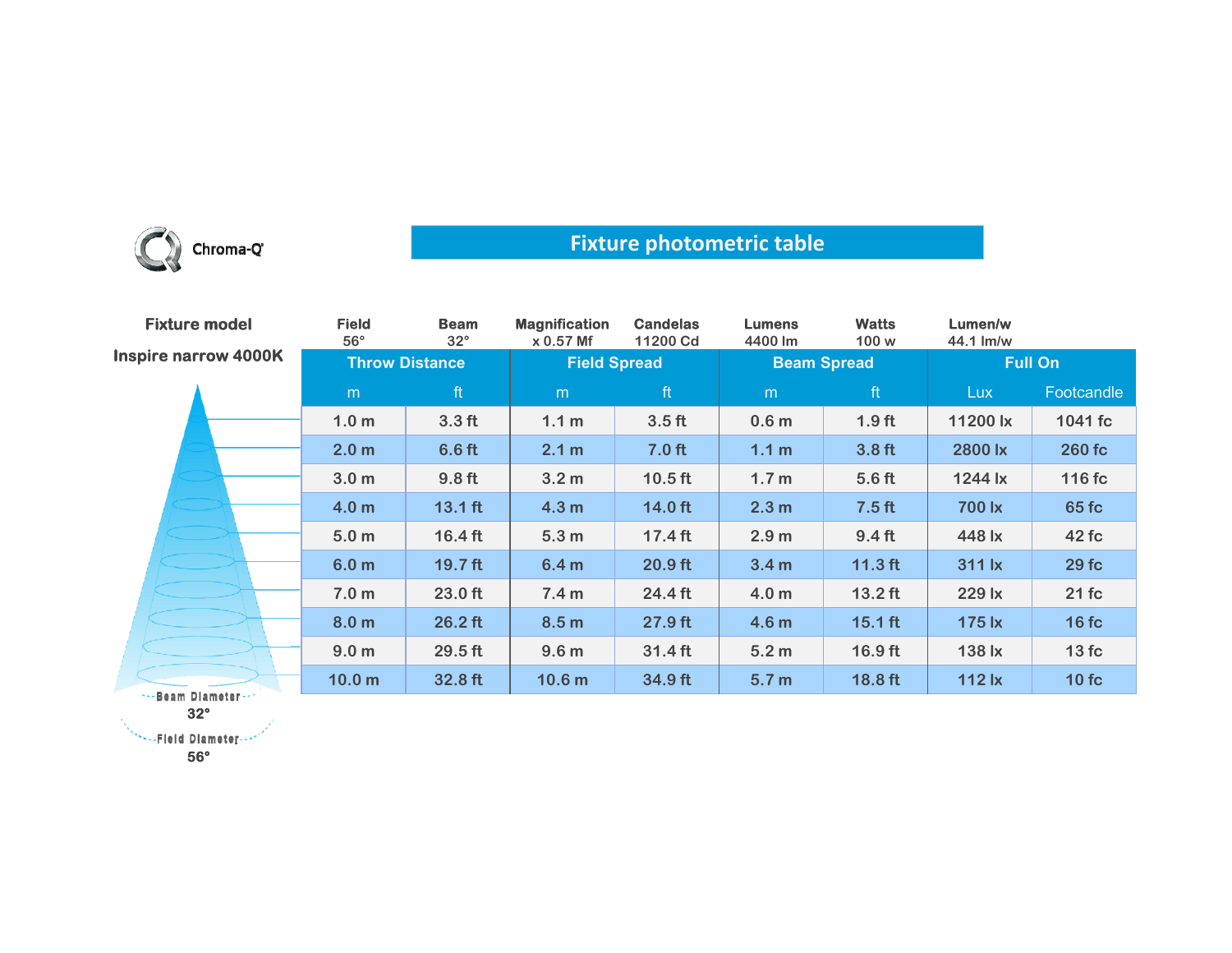

## **Fixture photometric table**

| <b>Fixture model</b>        | <b>Field</b><br>$56^\circ$ | <b>Beam</b><br>$32^{\circ}$ | <b>Magnification</b><br>x 0.57 Mf | <b>Candelas</b><br>11200 Cd | <b>Lumens</b><br>4400 lm | <b>Watts</b><br>100 w | Lumen/w<br>44.1 lm/w |            |
|-----------------------------|----------------------------|-----------------------------|-----------------------------------|-----------------------------|--------------------------|-----------------------|----------------------|------------|
| <b>Inspire narrow 4000K</b> | <b>Throw Distance</b>      |                             | <b>Field Spread</b>               |                             | <b>Beam Spread</b>       |                       | <b>Full On</b>       |            |
|                             | m                          | ft                          | m                                 | ft                          | m                        | ft                    | <b>Lux</b>           | Footcandle |
|                             | 1.0 <sub>m</sub>           | 3.3 <sub>ft</sub>           | 1.1 <sub>m</sub>                  | 3.5 <sub>ft</sub>           | 0.6 <sub>m</sub>         | 1.9 <sub>ft</sub>     | 11200 lx             | 1041 fc    |
|                             | 2.0 <sub>m</sub>           | 6.6 ft                      | 2.1 m                             | 7.0 <sub>ft</sub>           | 1.1 <sub>m</sub>         | 3.8 <sub>ft</sub>     | 2800 lx              | 260 fc     |
|                             | 3.0 <sub>m</sub>           | 9.8 <sub>ft</sub>           | 3.2 <sub>m</sub>                  | $10.5$ ft                   | 1.7 <sub>m</sub>         | 5.6 <sub>ft</sub>     | 1244 lx              | 116 fc     |
|                             | 4.0 <sub>m</sub>           | $13.1$ ft                   | 4.3 <sub>m</sub>                  | $14.0$ ft                   | 2.3 m                    | 7.5 <sub>ft</sub>     | 700 lx               | 65 fc      |
|                             | 5.0 <sub>m</sub>           | $16.4$ ft                   | 5.3 <sub>m</sub>                  | $17.4$ ft                   | 2.9 <sub>m</sub>         | $9.4$ ft              | 448 lx               | 42 fc      |
|                             | 6.0 <sub>m</sub>           | $19.7$ ft                   | 6.4 <sub>m</sub>                  | $20.9$ ft                   | 3.4 <sub>m</sub>         | $11.3$ ft             | 311 lx               | 29fc       |
|                             | 7.0 <sub>m</sub>           | 23.0 ft                     | 7.4 <sub>m</sub>                  | 24.4 ft                     | 4.0 <sub>m</sub>         | $13.2$ ft             | 229 lx               | 21fc       |
|                             | 8.0 <sub>m</sub>           | $26.2$ ft                   | 8.5 <sub>m</sub>                  | 27.9 ft                     | 4.6 <sub>m</sub>         | $15.1$ ft             | 175 lx               | 16fc       |
|                             | 9.0 <sub>m</sub>           | $29.5$ ft                   | 9.6 <sub>m</sub>                  | $31.4$ ft                   | 5.2 <sub>m</sub>         | $16.9$ ft             | 138 lx               | 13fc       |
| Boom Blomador               | 10.0 <sub>m</sub>          | 32.8 ft                     | 10.6 <sub>m</sub>                 | 34.9 ft                     | 5.7 <sub>m</sub>         | $18.8$ ft             | $112$ $x$            | 10fc       |

-Beam Diameter **32°**

**New Field Diameter - - 1** 

**56°**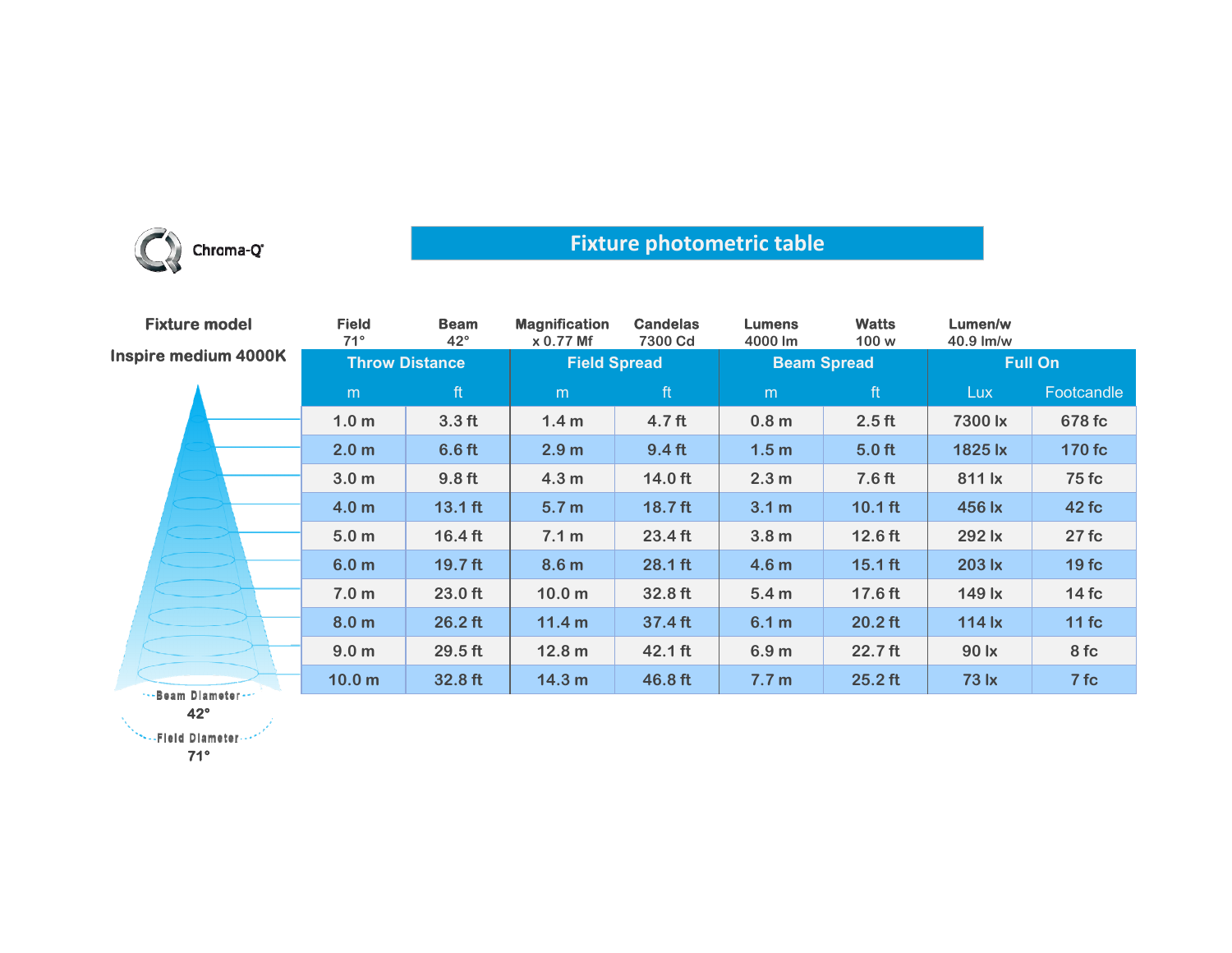

## **Fixture photometric table**

| <b>Fixture model</b> | <b>Field</b><br>$71^\circ$ | <b>Beam</b><br>$42^{\circ}$ | <b>Magnification</b><br>x 0.77 Mf | <b>Candelas</b><br>7300 Cd | <b>Lumens</b><br>4000 lm | <b>Watts</b><br>100 w | Lumen/w<br>$40.9$ lm/w |              |
|----------------------|----------------------------|-----------------------------|-----------------------------------|----------------------------|--------------------------|-----------------------|------------------------|--------------|
| Inspire medium 4000K | <b>Throw Distance</b>      |                             | <b>Field Spread</b>               |                            | <b>Beam Spread</b>       |                       | <b>Full On</b>         |              |
|                      | m                          | ft                          | m                                 | ft                         | m                        | ft                    | <b>Lux</b>             | Footcandle   |
|                      | 1.0 <sub>m</sub>           | 3.3 <sub>ft</sub>           | 1.4 <sub>m</sub>                  | 4.7 ft                     | 0.8 <sub>m</sub>         | 2.5 <sub>ft</sub>     | 7300 lx                | 678 fc       |
|                      | 2.0 <sub>m</sub>           | 6.6 <sub>ft</sub>           | 2.9 <sub>m</sub>                  | 9.4 <sub>ft</sub>          | 1.5 <sub>m</sub>         | 5.0 <sub>ft</sub>     | 1825 lx                | 170 fc       |
|                      | 3.0 <sub>m</sub>           | 9.8 <sub>ft</sub>           | 4.3 <sub>m</sub>                  | 14.0 ft                    | 2.3 <sub>m</sub>         | 7.6 <sub>ft</sub>     | 811 lx                 | <b>75 fc</b> |
|                      | 4.0 <sub>m</sub>           | $13.1$ ft                   | 5.7 <sub>m</sub>                  | 18.7 ft                    | 3.1 m                    | $10.1$ ft             | 456 lx                 | 42 fc        |
|                      | 5.0 <sub>m</sub>           | $16.4$ ft                   | 7.1 m                             | 23.4 ft                    | 3.8 <sub>m</sub>         | 12.6 ft               | 292 lx                 | 27fc         |
|                      | 6.0 <sub>m</sub>           | $19.7$ ft                   | 8.6 <sub>m</sub>                  | 28.1 ft                    | 4.6 <sub>m</sub>         | $15.1$ ft             | 203 lx                 | 19fc         |
|                      | 7.0 <sub>m</sub>           | $23.0$ ft                   | 10.0 <sub>m</sub>                 | 32.8 ft                    | 5.4 <sub>m</sub>         | $17.6$ ft             | 149 lx                 | 14fc         |
|                      | 8.0 <sub>m</sub>           | $26.2$ ft                   | 11.4 <sub>m</sub>                 | 37.4 ft                    | 6.1 m                    | $20.2$ ft             | <b>114 lx</b>          | $11$ fc      |
|                      | 9.0 <sub>m</sub>           | $29.5$ ft                   | 12.8 <sub>m</sub>                 | 42.1 ft                    | 6.9 <sub>m</sub>         | $22.7$ ft             | 90 lx                  | 8 fc         |
| ***Beam Diameter *** | 10.0 <sub>m</sub>          | 32.8 ft                     | 14.3 <sub>m</sub>                 | 46.8 ft                    | 7.7 <sub>m</sub>         | $25.2$ ft             | 73 lx                  | 7fc          |

**42°**

\*\*\*\*\*Fleid Diameter ...\*

**71°**